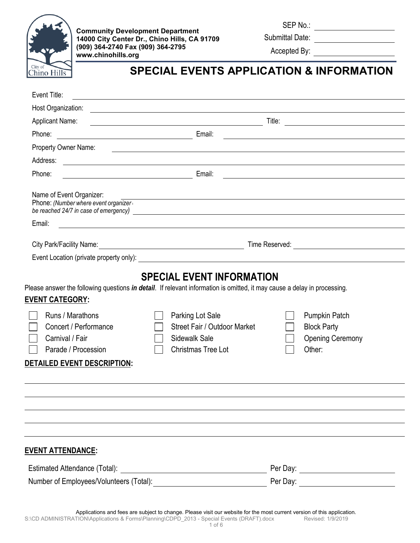

**Community Development Department 14000 City Center Dr., Chino Hills, CA 91709 (909) 364-2740 Fax (909) 364-2795 www.chinohills.org**

SEP No.:

Submittal Date:

Accepted By:

# **SPECIAL EVENTS APPLICATION & INFORMATION**

| Event Title:                                                                                                                                                                                                                                                                                                                                                                       |                                                                                 |
|------------------------------------------------------------------------------------------------------------------------------------------------------------------------------------------------------------------------------------------------------------------------------------------------------------------------------------------------------------------------------------|---------------------------------------------------------------------------------|
| Host Organization:<br><u>and the contract of the contract of the contract of the contract of the contract of the contract of the contract of</u>                                                                                                                                                                                                                                   |                                                                                 |
| <b>Applicant Name:</b><br><u> 1989 - Johann Barn, mars eta bainar eta baina eta baina eta baina eta baina eta baina eta baina eta baina e</u>                                                                                                                                                                                                                                      |                                                                                 |
| <b>Email:</b> Email:<br>Phone:                                                                                                                                                                                                                                                                                                                                                     |                                                                                 |
| Property Owner Name:<br><u> 1989 - Jan Barbara de Santo III e al Indonesia de la contrada de la contrada de la contrada de la contrada de</u>                                                                                                                                                                                                                                      |                                                                                 |
| Address:                                                                                                                                                                                                                                                                                                                                                                           |                                                                                 |
| Phone:                                                                                                                                                                                                                                                                                                                                                                             |                                                                                 |
| Name of Event Organizer:<br><u> 1989 - Johann Stoff, deutscher Stoffen und der Stoffen und der Stoffen und der Stoffen und der Stoffen und der</u><br>Phone: (Number where event organizer                                                                                                                                                                                         |                                                                                 |
| Email:                                                                                                                                                                                                                                                                                                                                                                             |                                                                                 |
|                                                                                                                                                                                                                                                                                                                                                                                    |                                                                                 |
|                                                                                                                                                                                                                                                                                                                                                                                    |                                                                                 |
| Please answer the following questions <i>in detail</i> . If relevant information is omitted, it may cause a delay in processing.<br><b>EVENT CATEGORY:</b><br>Runs / Marathons<br>Parking Lot Sale<br>Concert / Performance<br>Street Fair / Outdoor Market<br>Carnival / Fair<br>Sidewalk Sale<br>Parade / Procession<br><b>Christmas Tree Lot</b><br>DETAILED EVENT DESCRIPTION: | <b>Pumpkin Patch</b><br><b>Block Party</b><br><b>Opening Ceremony</b><br>Other: |
|                                                                                                                                                                                                                                                                                                                                                                                    |                                                                                 |
|                                                                                                                                                                                                                                                                                                                                                                                    |                                                                                 |
|                                                                                                                                                                                                                                                                                                                                                                                    |                                                                                 |
|                                                                                                                                                                                                                                                                                                                                                                                    |                                                                                 |
| <b>EVENT ATTENDANCE:</b>                                                                                                                                                                                                                                                                                                                                                           |                                                                                 |
|                                                                                                                                                                                                                                                                                                                                                                                    |                                                                                 |
|                                                                                                                                                                                                                                                                                                                                                                                    |                                                                                 |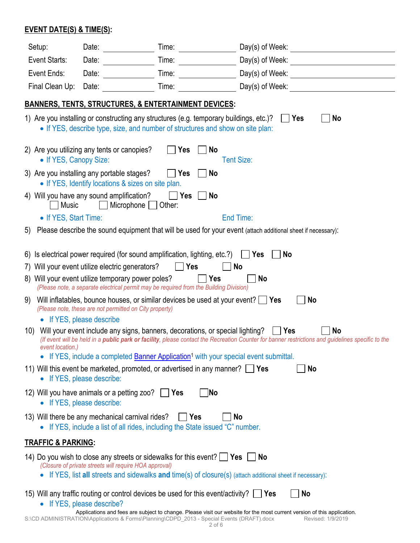### **EVENT DATE(S) & TIME(S):**

| Setup:                        | Date:                                                                                                                                                                                                                                                                     | Time:                                                                                                                                                                                                                                                                                                                                                                                                                                                                                                                                                                               |                                                                                                                                                                                                                                                 |
|-------------------------------|---------------------------------------------------------------------------------------------------------------------------------------------------------------------------------------------------------------------------------------------------------------------------|-------------------------------------------------------------------------------------------------------------------------------------------------------------------------------------------------------------------------------------------------------------------------------------------------------------------------------------------------------------------------------------------------------------------------------------------------------------------------------------------------------------------------------------------------------------------------------------|-------------------------------------------------------------------------------------------------------------------------------------------------------------------------------------------------------------------------------------------------|
| Event Starts:                 | Date:                                                                                                                                                                                                                                                                     | Time:                                                                                                                                                                                                                                                                                                                                                                                                                                                                                                                                                                               |                                                                                                                                                                                                                                                 |
| Event Ends:                   | Date:                                                                                                                                                                                                                                                                     | Time:                                                                                                                                                                                                                                                                                                                                                                                                                                                                                                                                                                               |                                                                                                                                                                                                                                                 |
| Final Clean Up:               | Date:                                                                                                                                                                                                                                                                     | Time:                                                                                                                                                                                                                                                                                                                                                                                                                                                                                                                                                                               | Day(s) of Week: Note that the state of the state of the state of the state of the state of the state of the state of the state of the state of the state of the state of the state of the state of the state of the state of t                  |
|                               |                                                                                                                                                                                                                                                                           | <b>BANNERS, TENTS, STRUCTURES, &amp; ENTERTAINMENT DEVICES:</b>                                                                                                                                                                                                                                                                                                                                                                                                                                                                                                                     |                                                                                                                                                                                                                                                 |
|                               |                                                                                                                                                                                                                                                                           | 1) Are you installing or constructing any structures (e.g. temporary buildings, etc.)?<br>• If YES, describe type, size, and number of structures and show on site plan:                                                                                                                                                                                                                                                                                                                                                                                                            | <b>No</b><br>Yes                                                                                                                                                                                                                                |
| • If YES, Canopy Size:        | 2) Are you utilizing any tents or canopies?                                                                                                                                                                                                                               | No<br>Yes                                                                                                                                                                                                                                                                                                                                                                                                                                                                                                                                                                           | <b>Tent Size:</b>                                                                                                                                                                                                                               |
|                               | 3) Are you installing any portable stages?<br>• If YES, Identify locations & sizes on site plan.                                                                                                                                                                          | Yes<br>No                                                                                                                                                                                                                                                                                                                                                                                                                                                                                                                                                                           |                                                                                                                                                                                                                                                 |
| <b>Music</b>                  | 4) Will you have any sound amplification?<br>Microphone                                                                                                                                                                                                                   | Yes<br>No<br>Other:                                                                                                                                                                                                                                                                                                                                                                                                                                                                                                                                                                 |                                                                                                                                                                                                                                                 |
| • If YES, Start Time:         |                                                                                                                                                                                                                                                                           |                                                                                                                                                                                                                                                                                                                                                                                                                                                                                                                                                                                     | End Time:                                                                                                                                                                                                                                       |
| 5)                            |                                                                                                                                                                                                                                                                           |                                                                                                                                                                                                                                                                                                                                                                                                                                                                                                                                                                                     | Please describe the sound equipment that will be used for your event (attach additional sheet if necessary):                                                                                                                                    |
| 9)<br>10)<br>event location.) | 7) Will your event utilize electric generators?<br>8) Will your event utilize temporary power poles?<br>(Please note, these are not permitted on City property)<br>• If YES, please describe<br>• If YES, please describe:<br>12) Will you have animals or a petting zoo? | 6) Is electrical power required (for sound amplification, lighting, etc.?)<br>Yes<br>Yes<br>(Please note, a separate electrical permit may be required from the Building Division)<br>Will inflatables, bounce houses, or similar devices be used at your event? $\Box$ Yes<br>Will your event include any signs, banners, decorations, or special lighting?<br>• If YES, include a completed <b>Banner Application</b> <sup>1</sup> with your special event submittal.<br>11) Will this event be marketed, promoted, or advertised in any manner? $\Box$ Yes<br>  Yes<br><b>No</b> | <b>No</b><br><b>Yes</b><br><b>No</b><br><b>No</b><br><b>No</b><br>No<br>∣ Yes<br>(If event will be held in a public park or facility, please contact the Recreation Counter for banner restrictions and guidelines specific to the<br><b>No</b> |
|                               | • If YES, please describe:                                                                                                                                                                                                                                                |                                                                                                                                                                                                                                                                                                                                                                                                                                                                                                                                                                                     |                                                                                                                                                                                                                                                 |
|                               | 13) Will there be any mechanical carnival rides?                                                                                                                                                                                                                          | $\vert$ Yes<br>• If YES, include a list of all rides, including the State issued "C" number.                                                                                                                                                                                                                                                                                                                                                                                                                                                                                        | No                                                                                                                                                                                                                                              |
| <b>TRAFFIC &amp; PARKING:</b> |                                                                                                                                                                                                                                                                           |                                                                                                                                                                                                                                                                                                                                                                                                                                                                                                                                                                                     |                                                                                                                                                                                                                                                 |
|                               | (Closure of private streets will require HOA approval)                                                                                                                                                                                                                    | 14) Do you wish to close any streets or sidewalks for this event? $\Box$ Yes                                                                                                                                                                                                                                                                                                                                                                                                                                                                                                        | <b>No</b><br>• If YES, list all streets and sidewalks and time(s) of closure(s) (attach additional sheet if necessary):                                                                                                                         |
|                               | • If YES, please describe?                                                                                                                                                                                                                                                | 15) Will any traffic routing or control devices be used for this event/activity? $\Box$ Yes                                                                                                                                                                                                                                                                                                                                                                                                                                                                                         | <b>No</b>                                                                                                                                                                                                                                       |
|                               |                                                                                                                                                                                                                                                                           | S:\CD ADMINISTRATION\Applications & Forms\Planning\CDPD_2013 - Special Events (DRAFT).docx                                                                                                                                                                                                                                                                                                                                                                                                                                                                                          | Applications and fees are subject to change. Please visit our website for the most current version of this application.<br>Revised: 1/9/2019                                                                                                    |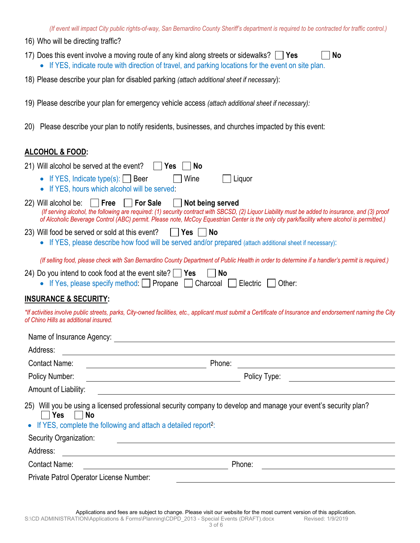- 16) Who will be directing traffic?
- 17) Does this event involve a moving route of any kind along streets or sidewalks? **Yes No** • If YES, indicate route with direction of travel, and parking locations for the event on site plan.
- 18) Please describe your plan for disabled parking *(attach additional sheet if necessary*):
- 19) Please describe your plan for emergency vehicle access *(attach additional sheet if necessary):*
- 20) Please describe your plan to notify residents, businesses, and churches impacted by this event:

#### **ALCOHOL & FOOD:**

| 21) Will alcohol be served at the event? $\Box$ Yes $\Box$ No |  |  |
|---------------------------------------------------------------|--|--|
|                                                               |  |  |

• If YES, Indicate type(s): | | Beer | | | Wine | | | Liquor

• If YES, hours which alcohol will be served:

|  |  | Not being served |                                                                                                                                                   |  |
|--|--|------------------|---------------------------------------------------------------------------------------------------------------------------------------------------|--|
|  |  |                  | (If serving alcohol, the following are required: (1) security contract with SBCSD, (2) Liquor Liability must be added to insurance, and (3) proof |  |
|  |  |                  | of Alcoholic Beverage Control (ABC) permit. Please note, McCoy Equestrian Center is the only city park/facility where alcohol is permitted.)      |  |

- 23) Will food be served or sold at this event? **Yes No**
	- If YES, please describe how food will be served and/or prepared (attach additional sheet if necessary):

*(If selling food, please check with San Bernardino County Department of Public Health in order to determine if a handler's permit is required.)*

- 24) Do you intend to cook food at the event site? **Yes No** 
	- If Yes, please specify method: **Propane** Charcoal **Figure**: **Charcoal Electric Pother:**

#### **INSURANCE & SECURITY:**

*\*If activities involve public streets, parks, City-owned facilities, etc., applicant must submit a Certificate of Insurance and endorsement naming the City of Chino Hills as additional insured.* 

| Name of Insurance Agency:                                                                                                                                                                                       |        |              |
|-----------------------------------------------------------------------------------------------------------------------------------------------------------------------------------------------------------------|--------|--------------|
| Address:                                                                                                                                                                                                        |        |              |
| <b>Contact Name:</b>                                                                                                                                                                                            | Phone: |              |
| Policy Number:                                                                                                                                                                                                  |        | Policy Type: |
| Amount of Liability:                                                                                                                                                                                            |        |              |
| 25) Will you be using a licensed professional security company to develop and manage your event's security plan?<br>Yes<br>  No<br>• If YES, complete the following and attach a detailed report <sup>2</sup> : |        |              |
| Security Organization:                                                                                                                                                                                          |        |              |
| Address:                                                                                                                                                                                                        |        |              |
| <b>Contact Name:</b>                                                                                                                                                                                            |        | Phone:       |
| Private Patrol Operator License Number:                                                                                                                                                                         |        |              |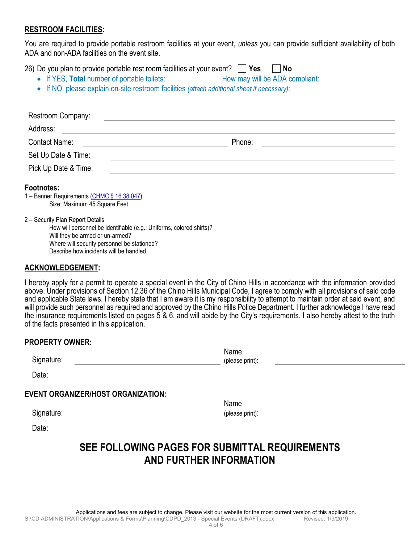#### **RESTROOM FACILITIES:**

You are required to provide portable restroom facilities at your event, *unless* you can provide sufficient availability of both ADA and non-ADA facilities on the event site.

26) Do you plan to provide portable rest room facilities at your event? **Yes No**

- If YES, **Total** number of portable toilets: How may will be ADA compliant:
- If NO, please explain on-site restroom facilities *(attach additional sheet if necessary)*:

| Restroom Company:                                                                                                                                                                                                                     |        |
|---------------------------------------------------------------------------------------------------------------------------------------------------------------------------------------------------------------------------------------|--------|
| Address:                                                                                                                                                                                                                              |        |
| <b>Contact Name:</b>                                                                                                                                                                                                                  | Phone: |
| Set Up Date & Time:                                                                                                                                                                                                                   |        |
| Pick Up Date & Time:                                                                                                                                                                                                                  |        |
| <b>Footnotes:</b><br>1 - Banner Requirements (CHMC § 16.38.047)<br>Size: Maximum 45 Square Feet                                                                                                                                       |        |
| 2 - Security Plan Report Details<br>How will personnel be identifiable (e.g.: Uniforms, colored shirts)?<br>Will they be armed or un-armed?<br>Where will security personnel be stationed?<br>Describe how incidents will be handled. |        |
| ACKNOW <u>LEDGEMENT</u> :                                                                                                                                                                                                             |        |

I hereby apply for a permit to operate a special event in the City of Chino Hills in accordance with the information provided above. Under provisions of Section 12.36 of the Chino Hills Municipal Code, I agree to comply with all provisions of said code and applicable State laws. I hereby state that I am aware it is my responsibility to attempt to maintain order at said event, and will provide such personnel as required and approved by the Chino Hills Police Department. I further acknowledge I have read the insurance requirements listed on pages 5 & 6, and will abide by the City's requirements. I also hereby attest to the truth of the facts presented in this application.

| <b>PROPERTY OWNER:</b>                    |                         |  |
|-------------------------------------------|-------------------------|--|
| Signature:                                | Name<br>(please print): |  |
| Date:                                     |                         |  |
| <b>EVENT ORGANIZER/HOST ORGANIZATION:</b> | Name                    |  |
| Signature:                                | (please print):         |  |
| Date:                                     |                         |  |
| -- -<br>------------<br>---               |                         |  |

## **SEE FOLLOWING PAGES FOR SUBMITTAL REQUIREMENTS AND FURTHER INFORMATION**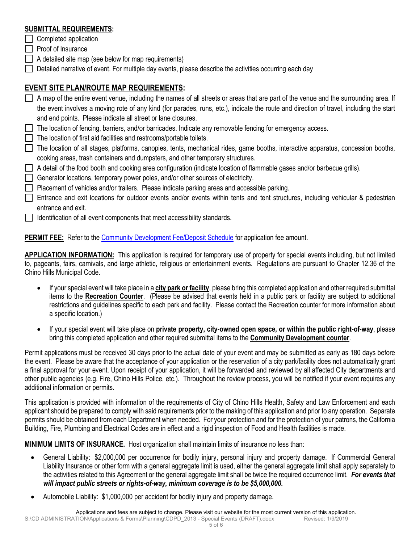#### **SUBMITTAL REQUIREMENTS:**

- $\Box$  Completed application
- $\Box$  Proof of Insurance
- A detailed site map (see below for map requirements)
- $\Box$  Detailed narrative of event. For multiple day events, please describe the activities occurring each day

### **EVENT SITE PLAN/ROUTE MAP REQUIREMENTS:**

- A map of the entire event venue, including the names of all streets or areas that are part of the venue and the surrounding area. If the event involves a moving rote of any kind (for parades, runs, etc.), indicate the route and direction of travel, including the start and end points. Please indicate all street or lane closures.
- $\Box$  The location of fencing, barriers, and/or barricades. Indicate any removable fencing for emergency access.
- The location of first aid facilities and restrooms/portable toilets.
- $\Box$  The location of all stages, platforms, canopies, tents, mechanical rides, game booths, interactive apparatus, concession booths, cooking areas, trash containers and dumpsters, and other temporary structures.
- A detail of the food booth and cooking area configuration (indicate location of flammable gases and/or barbecue grills).
- $\Box$  Generator locations, temporary power poles, and/or other sources of electricity.
- **Placement of vehicles and/or trailers. Please indicate parking areas and accessible parking.**
- $\Box$  Entrance and exit locations for outdoor events and/or events within tents and tent structures, including vehicular & pedestrian entrance and exit.
- $\Box$  Identification of all event components that meet accessibility standards.

**PERMIT FEE:** Refer to the [Community Development Fee/Deposit Schedule](https://www.chinohills.org/index.aspx?NID=150) for application fee amount.

**APPLICATION INFORMATION:** This application is required for temporary use of property for special events including, but not limited to, pageants, fairs, carnivals, and large athletic, religious or entertainment events. Regulations are pursuant to Chapter 12.36 of the Chino Hills Municipal Code.

- If your special event will take place in a **city park or facility**, please bring this completed application and other required submittal items to the **Recreation Counter**. (Please be advised that events held in a public park or facility are subject to additional restrictions and guidelines specific to each park and facility. Please contact the Recreation counter for more information about a specific location.)
- If your special event will take place on **private property, city-owned open space, or within the public right-of-way**, please bring this completed application and other required submittal items to the **Community Development counter**.

Permit applications must be received 30 days prior to the actual date of your event and may be submitted as early as 180 days before the event. Please be aware that the acceptance of your application or the reservation of a city park/facility does not automatically grant a final approval for your event. Upon receipt of your application, it will be forwarded and reviewed by all affected City departments and other public agencies (e.g. Fire, Chino Hills Police, etc.). Throughout the review process, you will be notified if your event requires any additional information or permits.

This application is provided with information of the requirements of City of Chino Hills Health, Safety and Law Enforcement and each applicant should be prepared to comply with said requirements prior to the making of this application and prior to any operation. Separate permits should be obtained from each Department when needed. For your protection and for the protection of your patrons, the California Building, Fire, Plumbing and Electrical Codes are in effect and a rigid inspection of Food and Health facilities is made.

**MINIMUM LIMITS OF INSURANCE.** Host organization shall maintain limits of insurance no less than:

- General Liability: \$2,000,000 per occurrence for bodily injury, personal injury and property damage. If Commercial General Liability Insurance or other form with a general aggregate limit is used, either the general aggregate limit shall apply separately to the activities related to this Agreement or the general aggregate limit shall be twice the required occurrence limit. *For events that will impact public streets or rights-of-way, minimum coverage is to be \$5,000,000.*
- Automobile Liability: \$1,000,000 per accident for bodily injury and property damage.